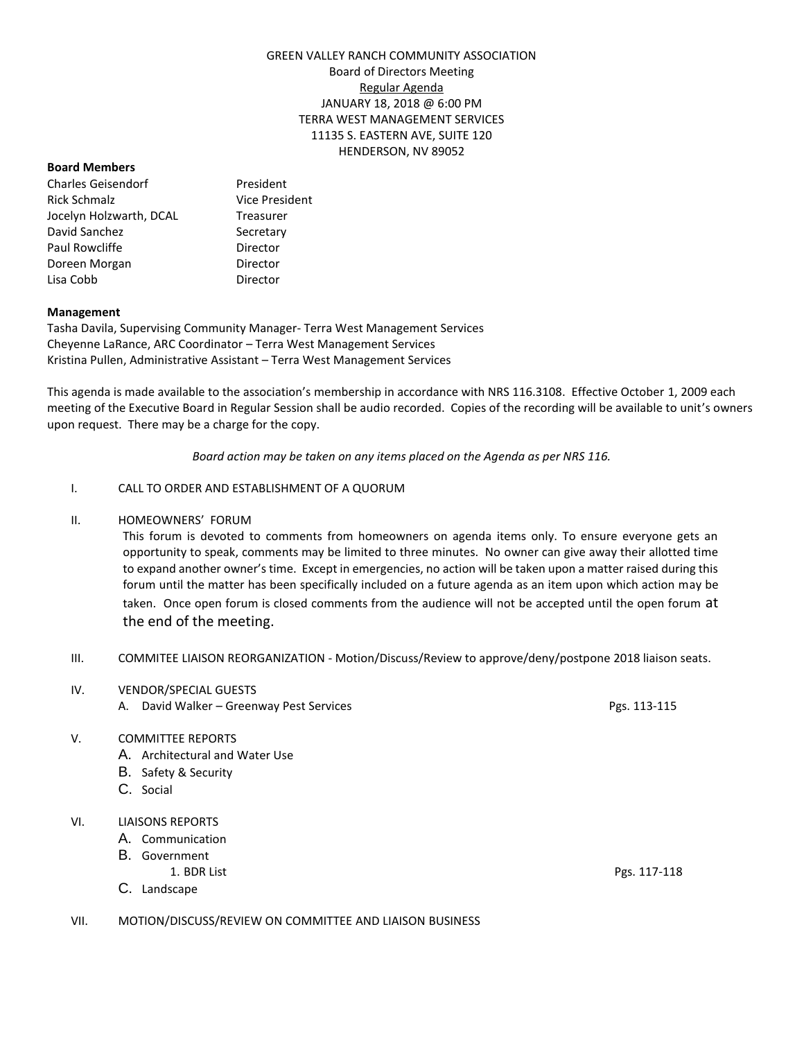# GREEN VALLEY RANCH COMMUNITY ASSOCIATION Board of Directors Meeting Regular Agenda JANUARY 18, 2018 @ 6:00 PM TERRA WEST MANAGEMENT SERVICES 11135 S. EASTERN AVE, SUITE 120 HENDERSON, NV 89052

#### **Board Members**

Charles Geisendorf President Rick Schmalz **Vice President** Jocelyn Holzwarth, DCAL Treasurer David Sanchez Secretary Paul Rowcliffe **Director** Doreen Morgan **Director** Lisa Cobb Director

## **Management**

Tasha Davila, Supervising Community Manager- Terra West Management Services Cheyenne LaRance, ARC Coordinator – Terra West Management Services Kristina Pullen, Administrative Assistant – Terra West Management Services

This agenda is made available to the association's membership in accordance with NRS 116.3108. Effective October 1, 2009 each meeting of the Executive Board in Regular Session shall be audio recorded. Copies of the recording will be available to unit's owners upon request. There may be a charge for the copy.

*Board action may be taken on any items placed on the Agenda as per NRS 116.*

## I. CALL TO ORDER AND ESTABLISHMENT OF A QUORUM

## II. HOMEOWNERS' FORUM

This forum is devoted to comments from homeowners on agenda items only. To ensure everyone gets an opportunity to speak, comments may be limited to three minutes. No owner can give away their allotted time to expand another owner's time. Except in emergencies, no action will be taken upon a matter raised during this forum until the matter has been specifically included on a future agenda as an item upon which action may be taken. Once open forum is closed comments from the audience will not be accepted until the open forum at the end of the meeting.

- III. COMMITEE LIAISON REORGANIZATION Motion/Discuss/Review to approve/deny/postpone 2018 liaison seats.
- IV. VENDOR/SPECIAL GUESTS
	- A. David Walker Greenway Pest Services Pgs. 113-115

# V. COMMITTEE REPORTS

- A. Architectural and Water Use
- B. Safety & Security
- C. Social

# VI. LIAISONS REPORTS

- A. Communication
- B. Government
	-
- C. Landscape
- VII. MOTION/DISCUSS/REVIEW ON COMMITTEE AND LIAISON BUSINESS

1. BDR List Pgs. 117-118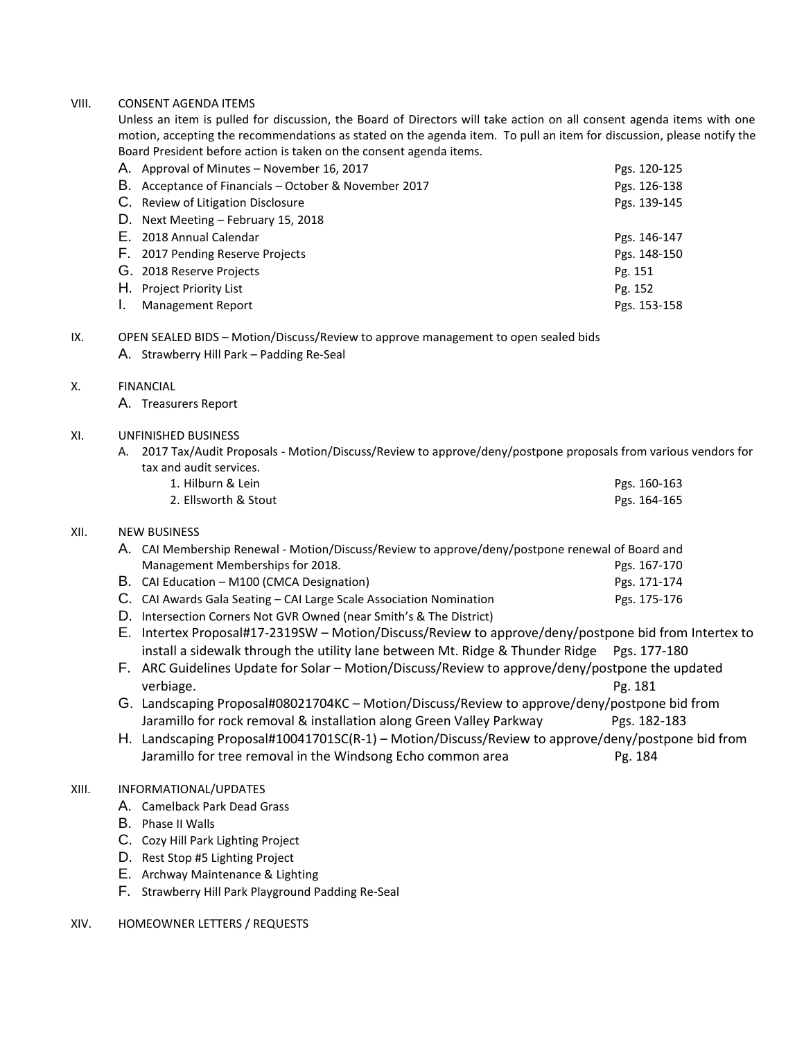## VIII. CONSENT AGENDA ITEMS

Unless an item is pulled for discussion, the Board of Directors will take action on all consent agenda items with one motion, accepting the recommendations as stated on the agenda item. To pull an item for discussion, please notify the Board President before action is taken on the consent agenda items.

| A. Approval of Minutes – November 16, 2017            | Pgs. 120-125 |
|-------------------------------------------------------|--------------|
| B. Acceptance of Financials - October & November 2017 | Pgs. 126-138 |
| C. Review of Litigation Disclosure                    | Pgs. 139-145 |
| D. Next Meeting – February 15, 2018                   |              |
| E. 2018 Annual Calendar                               | Pgs. 146-147 |
| F. 2017 Pending Reserve Projects                      | Pgs. 148-150 |
| G. 2018 Reserve Projects                              | Pg. 151      |
| H. Project Priority List                              | Pg. 152      |
| <b>Management Report</b>                              | Pgs. 153-158 |

## IX. OPEN SEALED BIDS – Motion/Discuss/Review to approve management to open sealed bids

A. Strawberry Hill Park – Padding Re-Seal

## X. FINANCIAL

A. Treasurers Report

## XI. UNFINISHED BUSINESS

A. 2017 Tax/Audit Proposals - Motion/Discuss/Review to approve/deny/postpone proposals from various vendors for tax and audit services.

| 1. Hilburn & Lein    | Pgs. 160-163 |
|----------------------|--------------|
| 2. Ellsworth & Stout | Pgs. 164-165 |

# XII. NEW BUSINESS

| A. CAI Membership Renewal - Motion/Discuss/Review to approve/deny/postpone renewal of Board and |              |
|-------------------------------------------------------------------------------------------------|--------------|
| Management Memberships for 2018.                                                                | Pgs. 167-170 |
| B. CAI Education - M100 (CMCA Designation)                                                      | Pgs. 171-174 |

- C. CAI Awards Gala Seating CAI Large Scale Association Nomination Pgs. 175-176
- D. Intersection Corners Not GVR Owned (near Smith's & The District)
- E. Intertex Proposal#17-2319SW Motion/Discuss/Review to approve/deny/postpone bid from Intertex to install a sidewalk through the utility lane between Mt. Ridge & Thunder Ridge Pgs. 177-180
- F. ARC Guidelines Update for Solar Motion/Discuss/Review to approve/deny/postpone the updated verbiage. Pg. 181
- G. Landscaping Proposal#08021704KC Motion/Discuss/Review to approve/deny/postpone bid from Jaramillo for rock removal & installation along Green Valley Parkway Pgs. 182-183
- H. Landscaping Proposal#10041701SC(R-1) Motion/Discuss/Review to approve/deny/postpone bid from Jaramillo for tree removal in the Windsong Echo common area Pg. 184

#### XIII. INFORMATIONAL/UPDATES

- A. Camelback Park Dead Grass
- B. Phase II Walls
- C. Cozy Hill Park Lighting Project
- D. Rest Stop #5 Lighting Project
- E. Archway Maintenance & Lighting
- F. Strawberry Hill Park Playground Padding Re-Seal

## XIV. HOMEOWNER LETTERS / REQUESTS